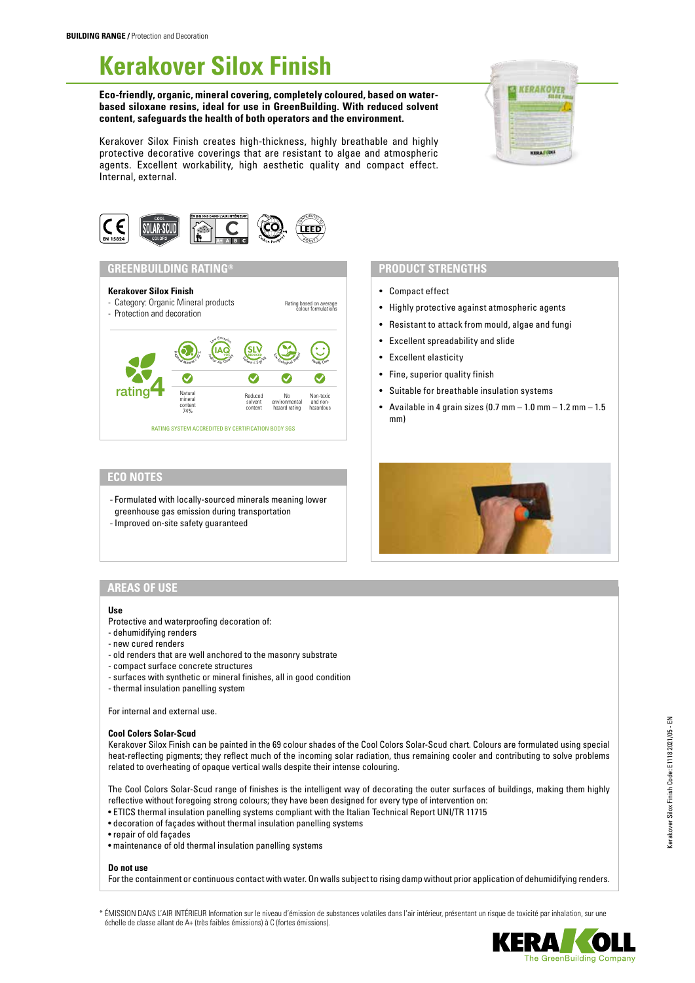# **Kerakover Silox Finish**

#### **Eco-friendly, organic, mineral covering, completely coloured, based on waterbased siloxane resins, ideal for use in GreenBuilding. With reduced solvent content, safeguards the health of both operators and the environment.**

Kerakover Silox Finish creates high-thickness, highly breathable and highly protective decorative coverings that are resistant to algae and atmospheric agents. Excellent workability, high aesthetic quality and compact effect. Internal, external.





## **GREENBUILDING RATING®**

## **Kerakover Silox Finish**



## **PRODUCT STRENGTHS**

- Compact effect
- Highly protective against atmospheric agents
- Resistant to attack from mould, algae and fungi
- Excellent spreadability and slide
- Excellent elasticity
- Fine, superior quality finish
- Suitable for breathable insulation systems
- Available in 4 grain sizes  $(0.7 \text{ mm} 1.0 \text{ mm} 1.2 \text{ mm} 1.5)$ mm)

## **ECO NOTES**

- Formulated with locally-sourced minerals meaning lower greenhouse gas emission during transportation
- Improved on-site safety guaranteed



## **AREAS OF USE**

#### **Use**

- Protective and waterproofing decoration of:
- dehumidifying renders
- new cured renders
- old renders that are well anchored to the masonry substrate
- compact surface concrete structures
- surfaces with synthetic or mineral finishes, all in good condition
- thermal insulation panelling system

For internal and external use.

#### **Cool Colors Solar-Scud**

Kerakover Silox Finish can be painted in the 69 colour shades of the Cool Colors Solar-Scud chart. Colours are formulated using special heat-reflecting pigments; they reflect much of the incoming solar radiation, thus remaining cooler and contributing to solve problems related to overheating of opaque vertical walls despite their intense colouring.

The Cool Colors Solar-Scud range of finishes is the intelligent way of decorating the outer surfaces of buildings, making them highly reflective without foregoing strong colours; they have been designed for every type of intervention on:

- ETICS thermal insulation panelling systems compliant with the Italian Technical Report UNI/TR 11715
- decoration of façades without thermal insulation panelling systems
- repair of old façades
- maintenance of old thermal insulation panelling systems

#### **Do not use**

For the containment or continuous contact with water. On walls subject to rising damp without prior application of dehumidifying renders.

\* ÉMISSION DANS L'AIR INTÉRIEUR Information sur le niveau d'émission de substances volatiles dans l'air intérieur, présentant un risque de toxicité par inhalation, sur une échelle de classe allant de A+ (très faibles émissions) à C (fortes émissions).

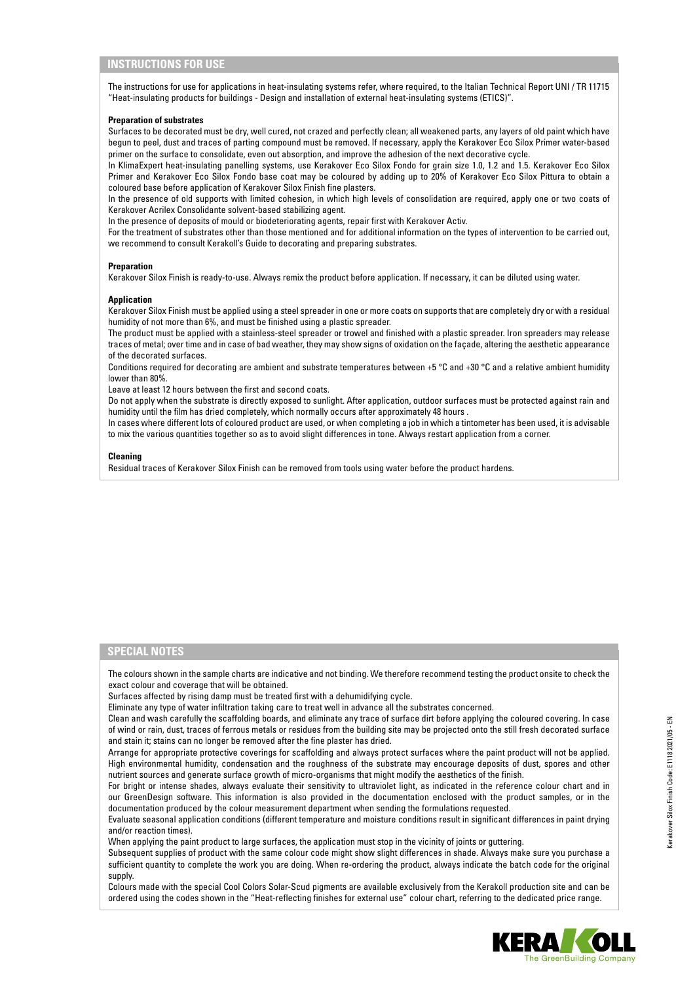## **INSTRUCTIONS FOR USE**

The instructions for use for applications in heat-insulating systems refer, where required, to the Italian Technical Report UNI / TR 11715 "Heat-insulating products for buildings - Design and installation of external heat-insulating systems (ETICS)".

#### **Preparation of substrates**

Surfaces to be decorated must be dry, well cured, not crazed and perfectly clean; all weakened parts, any layers of old paint which have begun to peel, dust and traces of parting compound must be removed. If necessary, apply the Kerakover Eco Silox Primer water-based primer on the surface to consolidate, even out absorption, and improve the adhesion of the next decorative cycle.

In KlimaExpert heat-insulating panelling systems, use Kerakover Eco Silox Fondo for grain size 1.0, 1.2 and 1.5. Kerakover Eco Silox Primer and Kerakover Eco Silox Fondo base coat may be coloured by adding up to 20% of Kerakover Eco Silox Pittura to obtain a coloured base before application of Kerakover Silox Finish fine plasters.

In the presence of old supports with limited cohesion, in which high levels of consolidation are required, apply one or two coats of Kerakover Acrilex Consolidante solvent-based stabilizing agent.

In the presence of deposits of mould or biodeteriorating agents, repair first with Kerakover Activ.

For the treatment of substrates other than those mentioned and for additional information on the types of intervention to be carried out, we recommend to consult Kerakoll's Guide to decorating and preparing substrates.

#### **Preparation**

Kerakover Silox Finish is ready-to-use. Always remix the product before application. If necessary, it can be diluted using water.

#### **Application**

Kerakover Silox Finish must be applied using a steel spreader in one or more coats on supports that are completely dry or with a residual humidity of not more than 6%, and must be finished using a plastic spreader.

The product must be applied with a stainless-steel spreader or trowel and finished with a plastic spreader. Iron spreaders may release traces of metal; over time and in case of bad weather, they may show signs of oxidation on the façade, altering the aesthetic appearance of the decorated surfaces.

Conditions required for decorating are ambient and substrate temperatures between +5  $^{\circ}$ C and +30  $^{\circ}$ C and a relative ambient humidity lower than 80%.

Leave at least 12 hours between the first and second coats.

Do not apply when the substrate is directly exposed to sunlight. After application, outdoor surfaces must be protected against rain and humidity until the film has dried completely, which normally occurs after approximately 48 hours .

In cases where different lots of coloured product are used, or when completing a job in which a tintometer has been used, it is advisable to mix the various quantities together so as to avoid slight differences in tone. Always restart application from a corner.

#### **Cleaning**

Residual traces of Kerakover Silox Finish can be removed from tools using water before the product hardens.

### **SPECIAL NOTES**

The colours shown in the sample charts are indicative and not binding. We therefore recommend testing the product onsite to check the exact colour and coverage that will be obtained.

Surfaces affected by rising damp must be treated first with a dehumidifying cycle.

Eliminate any type of water infiltration taking care to treat well in advance all the substrates concerned.

Clean and wash carefully the scaffolding boards, and eliminate any trace of surface dirt before applying the coloured covering. In case of wind or rain, dust, traces of ferrous metals or residues from the building site may be projected onto the still fresh decorated surface and stain it; stains can no longer be removed after the fine plaster has dried.

Arrange for appropriate protective coverings for scaffolding and always protect surfaces where the paint product will not be applied. High environmental humidity, condensation and the roughness of the substrate may encourage deposits of dust, spores and other nutrient sources and generate surface growth of micro-organisms that might modify the aesthetics of the finish.

For bright or intense shades, always evaluate their sensitivity to ultraviolet light, as indicated in the reference colour chart and in our GreenDesign software. This information is also provided in the documentation enclosed with the product samples, or in the documentation produced by the colour measurement department when sending the formulations requested.

Evaluate seasonal application conditions (different temperature and moisture conditions result in significant differences in paint drying and/or reaction times).

When applying the paint product to large surfaces, the application must stop in the vicinity of joints or guttering.

Subsequent supplies of product with the same colour code might show slight differences in shade. Always make sure you purchase a sufficient quantity to complete the work you are doing. When re-ordering the product, always indicate the batch code for the original supply.

Colours made with the special Cool Colors Solar-Scud pigments are available exclusively from the Kerakoll production site and can be ordered using the codes shown in the "Heat-reflecting finishes for external use" colour chart, referring to the dedicated price range.

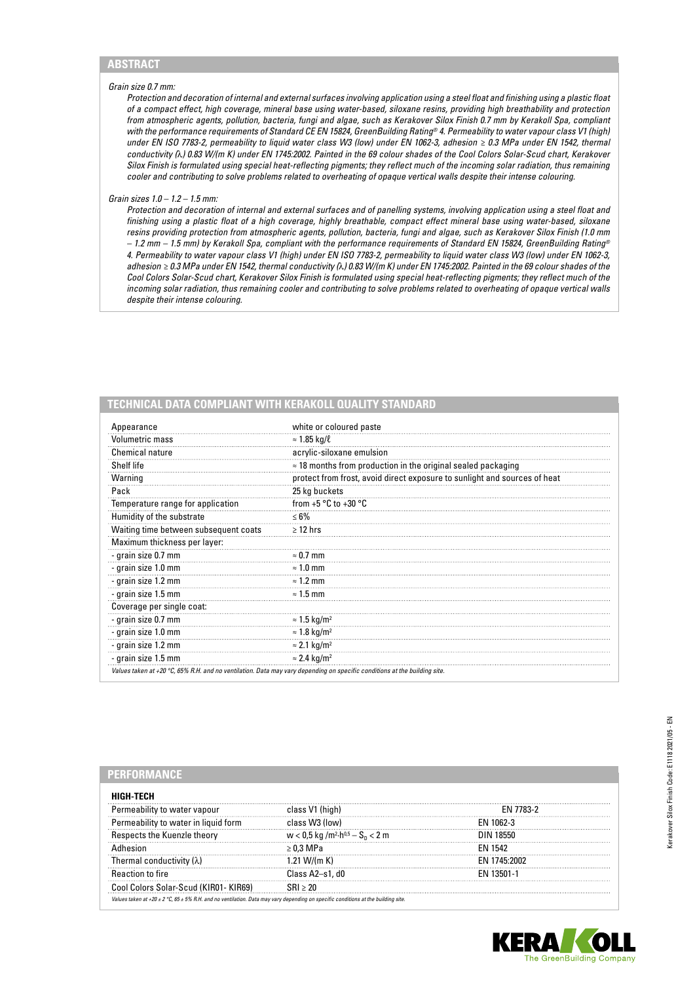#### *Grain size 0.7 mm:*

*Protection and decoration of internal and external surfaces involving application using a steel float and finishing using a plastic float of a compact effect, high coverage, mineral base using water-based, siloxane resins, providing high breathability and protection from atmospheric agents, pollution, bacteria, fungi and algae, such as Kerakover Silox Finish 0.7 mm by Kerakoll Spa, compliant with the performance requirements of Standard CE EN 15824, GreenBuilding Rating® 4. Permeability to water vapour class V1 (high) under EN ISO 7783-2, permeability to liquid water class W3 (low) under EN 1062-3, adhesion ≥ 0.3 MPa under EN 1542, thermal conductivity (*λ*) 0.83 W/(m K) under EN 1745:2002. Painted in the 69 colour shades of the Cool Colors Solar-Scud chart, Kerakover Silox Finish is formulated using special heat-reflecting pigments; they reflect much of the incoming solar radiation, thus remaining cooler and contributing to solve problems related to overheating of opaque vertical walls despite their intense colouring.*

#### *Grain sizes 1.0 – 1.2 – 1.5 mm:*

*Protection and decoration of internal and external surfaces and of panelling systems, involving application using a steel float and finishing using a plastic float of a high coverage, highly breathable, compact effect mineral base using water-based, siloxane resins providing protection from atmospheric agents, pollution, bacteria, fungi and algae, such as Kerakover Silox Finish (1.0 mm – 1.2 mm – 1.5 mm) by Kerakoll Spa, compliant with the performance requirements of Standard EN 15824, GreenBuilding Rating® 4. Permeability to water vapour class V1 (high) under EN ISO 7783-2, permeability to liquid water class W3 (low) under EN 1062-3, adhesion ≥ 0.3 MPa under EN 1542, thermal conductivity (*λ*) 0.83 W/(m K) under EN 1745:2002. Painted in the 69 colour shades of the Cool Colors Solar-Scud chart, Kerakover Silox Finish is formulated using special heat-reflecting pigments; they reflect much of the incoming solar radiation, thus remaining cooler and contributing to solve problems related to overheating of opaque vertical walls despite their intense colouring.*

| Appearance                            | white or coloured paste                                                   |  |
|---------------------------------------|---------------------------------------------------------------------------|--|
| <b>Volumetric mass</b>                | $\approx$ 1.85 kg/ $\ell$                                                 |  |
| Chemical nature                       | acrylic-siloxane emulsion                                                 |  |
| Shelf life                            | $\approx$ 18 months from production in the original sealed packaging      |  |
| Warning                               | protect from frost, avoid direct exposure to sunlight and sources of heat |  |
| Pack                                  | 25 kg buckets                                                             |  |
| Temperature range for application     | from $+5$ °C to $+30$ °C                                                  |  |
| Humidity of the substrate             | $\leq 6\%$                                                                |  |
| Waiting time between subsequent coats | $\geq$ 12 hrs                                                             |  |
| Maximum thickness per layer:          |                                                                           |  |
| - grain size 0.7 mm                   | $\approx 0.7$ mm                                                          |  |
| - grain size 1.0 mm                   | $\approx$ 1.0 mm                                                          |  |
| - grain size 1.2 mm                   | $\approx$ 1.2 mm                                                          |  |
| - grain size 1.5 mm                   | $\approx$ 1.5 mm                                                          |  |
| Coverage per single coat:             |                                                                           |  |
| - grain size 0.7 mm                   | $\approx$ 1.5 kg/m <sup>2</sup>                                           |  |
| - grain size 1.0 mm                   | $\approx$ 1.8 kg/m <sup>2</sup>                                           |  |
| - grain size 1.2 mm                   | $\approx$ 2.1 kg/m <sup>2</sup>                                           |  |
| - grain size 1.5 mm                   | $\approx$ 2.4 kg/m <sup>2</sup>                                           |  |

#### **PERFORMANCE**

| HIGH-TECH                                                                                                                         |                                                              |                |
|-----------------------------------------------------------------------------------------------------------------------------------|--------------------------------------------------------------|----------------|
| Permeability to water vapour                                                                                                      | class V1 (high)                                              | FN 7783-2      |
| Permeability to water in liquid form                                                                                              | class W3 (low)                                               | FN 1062-3      |
| spects the Kuenzle theorv                                                                                                         | $w < 0.5$ kg /m <sup>2</sup> ·h <sup>0,5</sup> – $S_0 < 2$ m | 18550 N        |
|                                                                                                                                   | > 0.3 MPa                                                    | <b>FN 1542</b> |
| Thermal conductivity ( $\lambda$ )                                                                                                | 1.21 W/(m K)                                                 | FN 1745.2002   |
| <b>Reaction to fire</b>                                                                                                           | Class A2-s1, d0                                              | FN 13501-1     |
| Cool Colors Solar-Scud (KIRO1- KIR69)                                                                                             |                                                              |                |
| Values taken at +20 ± 2 °C, 65 ± 5% R.H. and no ventilation. Data may vary depending on specific conditions at the building site. |                                                              |                |